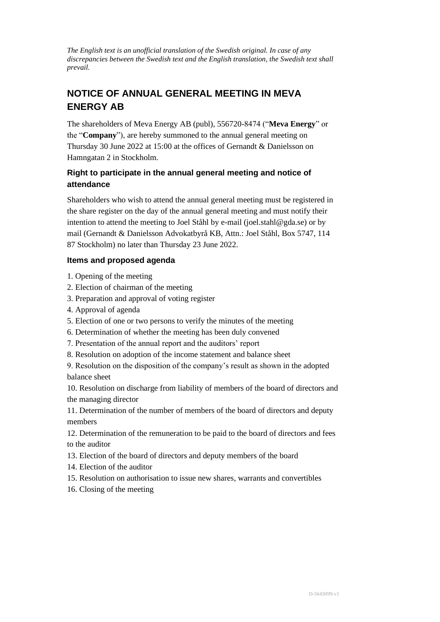*The English text is an unofficial translation of the Swedish original. In case of any discrepancies between the Swedish text and the English translation, the Swedish text shall prevail.*

# **NOTICE OF ANNUAL GENERAL MEETING IN MEVA ENERGY AB**

The shareholders of Meva Energy AB (publ), 556720-8474 ("**Meva Energy**" or the "**Company**"), are hereby summoned to the annual general meeting on Thursday 30 June 2022 at 15:00 at the offices of Gernandt & Danielsson on Hamngatan 2 in Stockholm.

## **Right to participate in the annual general meeting and notice of attendance**

Shareholders who wish to attend the annual general meeting must be registered in the share register on the day of the annual general meeting and must notify their intention to attend the meeting to Joel Ståhl by e-mail (joel.stahl@gda.se) or by mail (Gernandt & Danielsson Advokatbyrå KB, Attn.: Joel Ståhl, Box 5747, 114 87 Stockholm) no later than Thursday 23 June 2022.

## **Items and proposed agenda**

- 1. Opening of the meeting
- 2. Election of chairman of the meeting
- 3. Preparation and approval of voting register
- 4. Approval of agenda
- 5. Election of one or two persons to verify the minutes of the meeting
- 6. Determination of whether the meeting has been duly convened
- 7. Presentation of the annual report and the auditors' report
- 8. Resolution on adoption of the income statement and balance sheet

9. Resolution on the disposition of the company's result as shown in the adopted balance sheet

10. Resolution on discharge from liability of members of the board of directors and the managing director

11. Determination of the number of members of the board of directors and deputy members

12. Determination of the remuneration to be paid to the board of directors and fees to the auditor

- 13. Election of the board of directors and deputy members of the board
- 14. Election of the auditor
- 15. Resolution on authorisation to issue new shares, warrants and convertibles
- 16. Closing of the meeting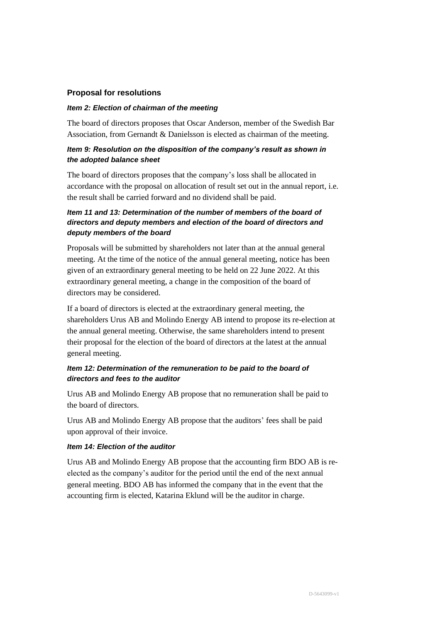#### **Proposal for resolutions**

#### *Item 2: Election of chairman of the meeting*

The board of directors proposes that Oscar Anderson, member of the Swedish Bar Association, from Gernandt & Danielsson is elected as chairman of the meeting.

#### *Item 9: Resolution on the disposition of the company's result as shown in the adopted balance sheet*

The board of directors proposes that the company's loss shall be allocated in accordance with the proposal on allocation of result set out in the annual report, i.e. the result shall be carried forward and no dividend shall be paid.

### *Item 11 and 13: Determination of the number of members of the board of directors and deputy members and election of the board of directors and deputy members of the board*

Proposals will be submitted by shareholders not later than at the annual general meeting. At the time of the notice of the annual general meeting, notice has been given of an extraordinary general meeting to be held on 22 June 2022. At this extraordinary general meeting, a change in the composition of the board of directors may be considered.

If a board of directors is elected at the extraordinary general meeting, the shareholders Urus AB and Molindo Energy AB intend to propose its re-election at the annual general meeting. Otherwise, the same shareholders intend to present their proposal for the election of the board of directors at the latest at the annual general meeting.

#### *Item 12: Determination of the remuneration to be paid to the board of directors and fees to the auditor*

Urus AB and Molindo Energy AB propose that no remuneration shall be paid to the board of directors.

Urus AB and Molindo Energy AB propose that the auditors' fees shall be paid upon approval of their invoice.

#### *Item 14: Election of the auditor*

Urus AB and Molindo Energy AB propose that the accounting firm BDO AB is reelected as the company's auditor for the period until the end of the next annual general meeting. BDO AB has informed the company that in the event that the accounting firm is elected, Katarina Eklund will be the auditor in charge.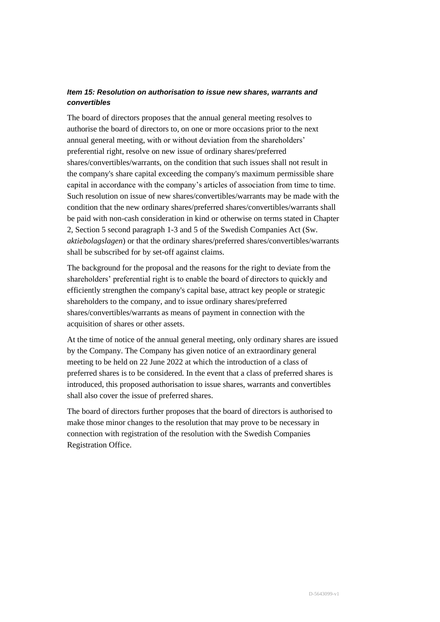## *Item 15: Resolution on authorisation to issue new shares, warrants and convertibles*

The board of directors proposes that the annual general meeting resolves to authorise the board of directors to, on one or more occasions prior to the next annual general meeting, with or without deviation from the shareholders' preferential right, resolve on new issue of ordinary shares/preferred shares/convertibles/warrants, on the condition that such issues shall not result in the company's share capital exceeding the company's maximum permissible share capital in accordance with the company's articles of association from time to time. Such resolution on issue of new shares/convertibles/warrants may be made with the condition that the new ordinary shares/preferred shares/convertibles/warrants shall be paid with non-cash consideration in kind or otherwise on terms stated in Chapter 2, Section 5 second paragraph 1-3 and 5 of the Swedish Companies Act (Sw. *aktiebolagslagen*) or that the ordinary shares/preferred shares/convertibles/warrants shall be subscribed for by set-off against claims.

The background for the proposal and the reasons for the right to deviate from the shareholders' preferential right is to enable the board of directors to quickly and efficiently strengthen the company's capital base, attract key people or strategic shareholders to the company, and to issue ordinary shares/preferred shares/convertibles/warrants as means of payment in connection with the acquisition of shares or other assets.

At the time of notice of the annual general meeting, only ordinary shares are issued by the Company. The Company has given notice of an extraordinary general meeting to be held on 22 June 2022 at which the introduction of a class of preferred shares is to be considered. In the event that a class of preferred shares is introduced, this proposed authorisation to issue shares, warrants and convertibles shall also cover the issue of preferred shares.

The board of directors further proposes that the board of directors is authorised to make those minor changes to the resolution that may prove to be necessary in connection with registration of the resolution with the Swedish Companies Registration Office.